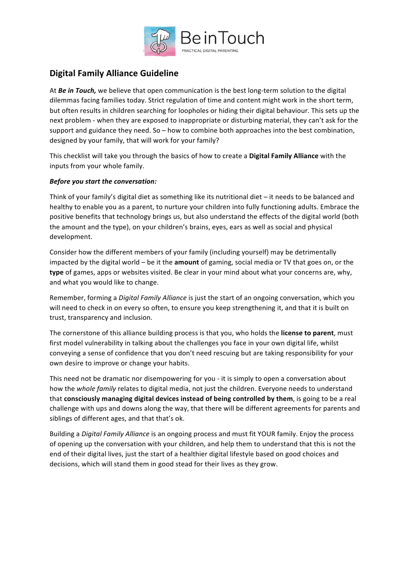

# **Digital Family Alliance Guideline**

At **Be in Touch,** we believe that open communication is the best long-term solution to the digital dilemmas facing families today. Strict regulation of time and content might work in the short term, but often results in children searching for loopholes or hiding their digital behaviour. This sets up the next problem - when they are exposed to inappropriate or disturbing material, they can't ask for the support and guidance they need. So – how to combine both approaches into the best combination, designed by your family, that will work for your family?

This checklist will take you through the basics of how to create a **Digital Family Alliance** with the inputs from your whole family.

## **Before you start the conversation:**

Think of your family's digital diet as something like its nutritional diet  $-$  it needs to be balanced and healthy to enable you as a parent, to nurture your children into fully functioning adults. Embrace the positive benefits that technology brings us, but also understand the effects of the digital world (both the amount and the type), on your children's brains, eyes, ears as well as social and physical development. 

Consider how the different members of your family (including yourself) may be detrimentally impacted by the digital world – be it the **amount** of gaming, social media or TV that goes on, or the **type** of games, apps or websites visited. Be clear in your mind about what your concerns are, why, and what you would like to change.

Remember, forming a *Digital Family Alliance* is just the start of an ongoing conversation, which you will need to check in on every so often, to ensure you keep strengthening it, and that it is built on trust, transparency and inclusion.

The cornerstone of this alliance building process is that you, who holds the **license to parent**, must first model vulnerability in talking about the challenges you face in your own digital life, whilst conveying a sense of confidence that you don't need rescuing but are taking responsibility for your own desire to improve or change your habits.

This need not be dramatic nor disempowering for you - it is simply to open a conversation about how the whole family relates to digital media, not just the children. Everyone needs to understand that **consciously managing digital devices instead of being controlled by them,** is going to be a real challenge with ups and downs along the way, that there will be different agreements for parents and siblings of different ages, and that that's ok.

Building a *Digital Family Alliance* is an ongoing process and must fit YOUR family. Enjoy the process of opening up the conversation with your children, and help them to understand that this is not the end of their digital lives, just the start of a healthier digital lifestyle based on good choices and decisions, which will stand them in good stead for their lives as they grow.